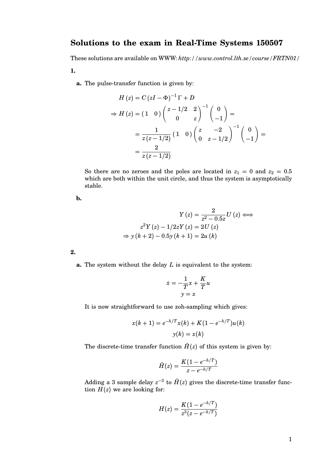## **Solutions to the exam in Real-Time Systems 150507**

These solutions are available on WWW: *http://www.control.lth.se/course/FRTN01/* **1.**

**a.** The pulse-transfer function is given by:

$$
H(z) = C (zI - \Phi)^{-1} \Gamma + D
$$
  
\n
$$
\Rightarrow H(z) = (1 \ 0) \begin{pmatrix} z - 1/2 & 2 \\ 0 & z \end{pmatrix}^{-1} \begin{pmatrix} 0 \\ -1 \end{pmatrix} =
$$
  
\n
$$
= \frac{1}{z (z - 1/2)} (1 \ 0) \begin{pmatrix} z & -2 \\ 0 & z - 1/2 \end{pmatrix}^{-1} \begin{pmatrix} 0 \\ -1 \end{pmatrix} =
$$
  
\n
$$
= \frac{2}{z (z - 1/2)}
$$

So there are no zeroes and the poles are located in  $z_1 = 0$  and  $z_2 = 0.5$ which are both within the unit circle, and thus the system is asymptotically stable.

**b.**

$$
Y(z) = \frac{2}{z^2 - 0.5z}U(z) \Longleftrightarrow
$$
  

$$
z^2 Y(z) - 1/2zY(z) = 2U(z)
$$
  

$$
\Rightarrow y(k+2) - 0.5y(k+1) = 2u(k)
$$

**2.**

**a.** The system without the delay *L* is equivalent to the system:

$$
\dot{x} = -\frac{1}{T}x + \frac{K}{T}u
$$

$$
y = x
$$

It is now straightforward to use zoh-sampling which gives:

$$
x(k + 1) = e^{-h/T}x(k) + K(1 - e^{-h/T})u(k)
$$

$$
y(k) = x(k)
$$

The discrete-time transfer function  $\hat{H}(z)$  of this system is given by:

$$
\hat{H}(z) = \frac{K(1-e^{-h/T})}{z-e^{-h/T}}
$$

Adding a 3 sample delay  $z^{-3}$  to  $\hat{H}(z)$  gives the discrete-time transfer function  $H(z)$  we are looking for:

$$
H(z)=\frac{K(1-e^{-h/T})}{z^3(z-e^{-h/T})}
$$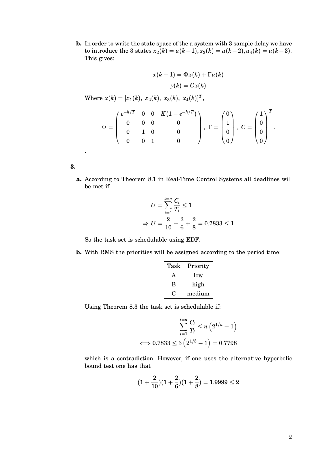**b.** In order to write the state space of the a system with 3 sample delay we have to introduce the 3 states  $x_2(k) = u(k-1), x_3(k) = u(k-2), u_4(k) = u(k-3).$ This gives:

$$
x(k + 1) = \Phi x(k) + \Gamma u(k)
$$

$$
y(k) = Cx(k)
$$

Where  $x(k) = [x_1(k), x_2(k), x_3(k), x_4(k)]^T$ ,

$$
\Phi = \begin{pmatrix} e^{-h/T} & 0 & 0 & K(1 - e^{-h/T}) \\ 0 & 0 & 0 & 0 \\ 0 & 1 & 0 & 0 \\ 0 & 0 & 1 & 0 \end{pmatrix}, \Gamma = \begin{pmatrix} 0 \\ 1 \\ 0 \\ 0 \end{pmatrix}, C = \begin{pmatrix} 1 \\ 0 \\ 0 \\ 0 \end{pmatrix}^T.
$$

**3.**

.

**a.** According to Theorem 8.1 in Real-Time Control Systems all deadlines will be met if

$$
U = \sum_{i=1}^{i=n} \frac{C_i}{T_i} \le 1
$$
  
\n
$$
\Rightarrow U = \frac{2}{10} + \frac{2}{6} + \frac{2}{8} = 0.7833 \le 1
$$

So the task set is schedulable using EDF.

**b.** With RMS the priorities will be assigned according to the period time:

| Task | Priority |
|------|----------|
| A    | low      |
| В    | high     |
| . .  | medium   |

Using Theorem 8.3 the task set is schedulable if:

$$
\sum_{i=1}^{i=n} \frac{C_i}{T_i} \le n \left( 2^{1/n} - 1 \right)
$$
  

$$
\iff 0.7833 \le 3 \left( 2^{1/3} - 1 \right) = 0.7798
$$

which is a contradiction. However, if one uses the alternative hyperbolic bound test one has that

$$
(1+\frac{2}{10})(1+\frac{2}{6})(1+\frac{2}{8})=1.9999\leq 2
$$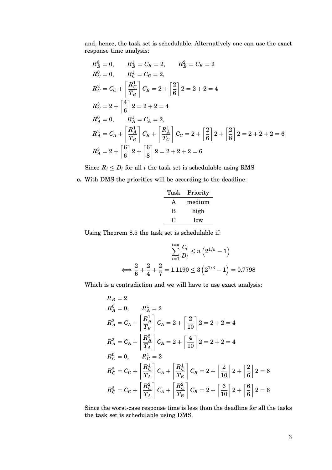and, hence, the task set is schedulable. Alternatively one can use the exact response time analysis:

$$
R_B^0 = 0, \t R_B^1 = C_B = 2, \t R_B^2 = C_B = 2
$$
  
\n
$$
R_C^0 = 0, \t R_C^1 = C_C = 2,
$$
  
\n
$$
R_C^2 = C_C + \left[ \frac{R_C^1}{T_B} \right] C_B = 2 + \left[ \frac{2}{6} \right] 2 = 2 + 2 = 4
$$
  
\n
$$
R_C^3 = 2 + \left[ \frac{4}{6} \right] 2 = 2 + 2 = 4
$$
  
\n
$$
R_A^0 = 0, \t R_A^1 = C_A = 2,
$$
  
\n
$$
R_A^2 = C_A + \left[ \frac{R_A^1}{T_B} \right] C_B + \left[ \frac{R_A^1}{T_C} \right] C_C = 2 + \left[ \frac{2}{6} \right] 2 + \left[ \frac{2}{8} \right] 2 = 2 + 2 + 2 = 6
$$
  
\n
$$
R_A^3 = 2 + \left[ \frac{6}{6} \right] 2 + \left[ \frac{6}{8} \right] 2 = 2 + 2 + 2 = 6
$$

Since  $R_i \leq D_i$  for all *i* the task set is schedulable using RMS.

**c.** With DMS the priorities will be according to the deadline:

| Task | Priority |
|------|----------|
| A    | medium   |
| R    | high     |
| 0    | low      |
|      |          |

Using Theorem 8.5 the task set is schedulable if:

$$
\sum_{i=1}^{i=n} \frac{C_i}{D_i} \le n \left( 2^{1/n} - 1 \right)
$$
  

$$
\iff \frac{2}{6} + \frac{2}{4} + \frac{2}{7} = 1.1190 \le 3 \left( 2^{1/3} - 1 \right) = 0.7798
$$

Which is a contradiction and we will have to use exact analysis:

$$
R_B = 2
$$
  
\n
$$
R_A^0 = 0, \t R_A^1 = 2
$$
  
\n
$$
R_A^2 = C_A + \left[ \frac{R_A^1}{T_B} \right] C_A = 2 + \left[ \frac{2}{10} \right] 2 = 2 + 2 = 4
$$
  
\n
$$
R_A^3 = C_A + \left[ \frac{R_A^2}{T_A} \right] C_A = 2 + \left[ \frac{4}{10} \right] 2 = 2 + 2 = 4
$$
  
\n
$$
R_C^0 = 0, \t R_C^1 = 2
$$
  
\n
$$
R_C^2 = C_C + \left[ \frac{R_C^1}{T_A} \right] C_A + \left[ \frac{R_C^1}{T_B} \right] C_B = 2 + \left[ \frac{2}{10} \right] 2 + \left[ \frac{2}{6} \right] 2 = 6
$$
  
\n
$$
R_C^3 = C_C + \left[ \frac{R_C^2}{T_A} \right] C_A + \left[ \frac{R_C^2}{T_B} \right] C_B = 2 + \left[ \frac{6}{10} \right] 2 + \left[ \frac{6}{6} \right] 2 = 6
$$

Since the worst-case response time is less than the deadline for all the tasks the task set is schedulable using DMS.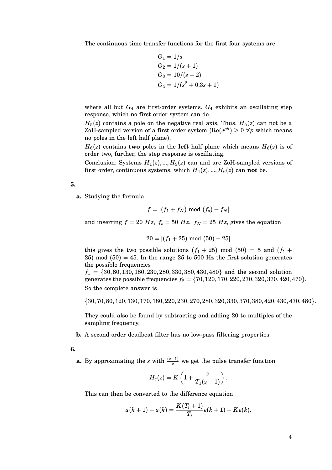The continuous time transfer functions for the first four systems are

$$
G_1 = 1/s
$$
  
\n
$$
G_2 = 1/(s + 1)
$$
  
\n
$$
G_3 = 10/(s + 2)
$$
  
\n
$$
G_4 = 1/(s^2 + 0.3s + 1)
$$

where all but  $G_4$  are first-order systems.  $G_4$  exhibits an oscillating step response, which no first order system can do.

 $H_5(z)$  contains a pole on the negative real axis. Thus,  $H_5(z)$  can not be a ZoH-sampled version of a first order system ( $\text{Re}(e^{ph}) \geq 0 \, \forall p$  which means no poles in the left half plane).

 $H_6(z)$  contains **two** poles in the **left** half plane which means  $H_6(z)$  is of order two, further, the step response is oscillating.

Conclusion: Systems  $H_1(z),...,H_3(z)$  can and are ZoH-sampled versions of first order, continuous systems, which  $H_4(z), ..., H_6(z)$  can **not** be.

## **5.**

**a.** Studying the formula

$$
f = |(f_1 + f_N) \bmod (f_s) - f_N|
$$

and inserting  $f = 20 Hz$ ,  $f_s = 50 Hz$ ,  $f_N = 25 Hz$ , gives the equation

$$
20 = |(f_1 + 25) \mod (50) - 25|
$$

this gives the two possible solutions  $(f_1 + 25)$  mod  $(50) = 5$  and  $(f_1 +$ 25) mod  $(50) = 45$ . In the range 25 to 500 Hz the first solution generates the possible frequencies

 $f_1 = \{30, 80, 130, 180, 230, 280, 330, 380, 430, 480\}$  and the second solution generates the possible frequencies  $f_2 = \{70, 120, 170, 220, 270, 320, 370, 420, 470\}.$ So the complete answer is

{30, 70, 80, 120, 130, 170, 180, 220, 230, 270, 280, 320, 330, 370, 380, 420, 430, 470, 480}.

They could also be found by subtracting and adding 20 to multiples of the sampling frequency.

**b.** A second order deadbeat filter has no low-pass filtering properties.

**6.**

**a.** By approximating the *s* with  $\frac{(z-1)}{z}$  we get the pulse transfer function

$$
H_c(z) = K\left(1 + \frac{z}{T_1(z-1)}\right)
$$

.

This can then be converted to the difference equation

$$
u(k+1) - u(k) = \frac{K(T_i+1)}{T_i}e(k+1) - Ke(k).
$$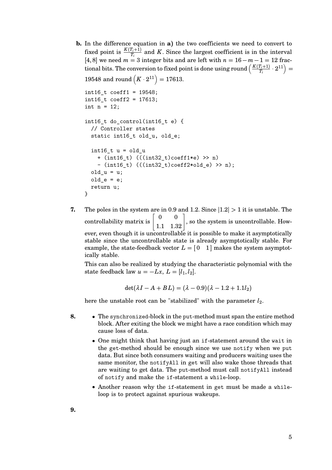**b.** In the difference equation in **a**) the two coefficients we need to convert to fixed point is  $\frac{K(T_i+1)}{T_i}$  and *K*. Since the largest coefficient is in the interval [4, 8] we need *m* = 3 integer bits and are left with *n* = 16− *m* −1 = 12 fractional bits. The conversion to fixed point is done using round  $\left(\frac{K(T_i+1)}{T}\right)$  $\left(\frac{T_i+1)}{T_i}\cdot 2^{11}\right)=$ 19548 and round  $(K \cdot 2^{11}) = 17613$ .

```
int16_t coeff1 = 19548;
int16_t coeff2 = 17613;
int n = 12;
int16 t do control(int16 t e) {
  // Controller states
  static int16_t old_u, old_e;
  int16 t u = old u+ (int16 t) (((int32 t)coeff1*e) > n)
    - (int16_t) (((int32_t)coeff2*old_e) >> n);
  old_u = u;old_e = e;return u;
}
```
**7.** The poles in the system are in 0.9 and 1.2. Since  $|1.2| > 1$  it is unstable. The controllability matrix is  $\begin{bmatrix} 0 & 0 \\ 1.1 & 1.32 \end{bmatrix}$ , so the system is uncontrollable. However, even though it is uncontrollable it is possible to make it asymptotically stable since the uncontrollable state is already asymptotically stable. For example, the state-feedback vector  $L = \begin{bmatrix} 0 & 1 \end{bmatrix}$  makes the system asymptotically stable.

This can also be realized by studying the characteristic polynomial with the state feedback law  $u = -Lx$ ,  $L = [l_1, l_2]$ .

$$
\det(\lambda I - A + BL) = (\lambda - 0.9)(\lambda - 1.2 + 1.1l_2)
$$

here the unstable root can be "stabilized" with the parameter *l*2.

- **8.** The synchronized-block in the put-method must span the entire method block. After exiting the block we might have a race condition which may cause loss of data.
	- One might think that having just an if-statement around the wait in the get-method should be enough since we use notify when we put data. But since both consumers waiting and producers waiting uses the same monitor, the notifyAll in get will also wake those threads that are waiting to get data. The put-method must call notifyAll instead of notify and make the if-statement a while-loop.
	- Another reason why the if-statement in get must be made a whileloop is to protect against spurious wakeups.